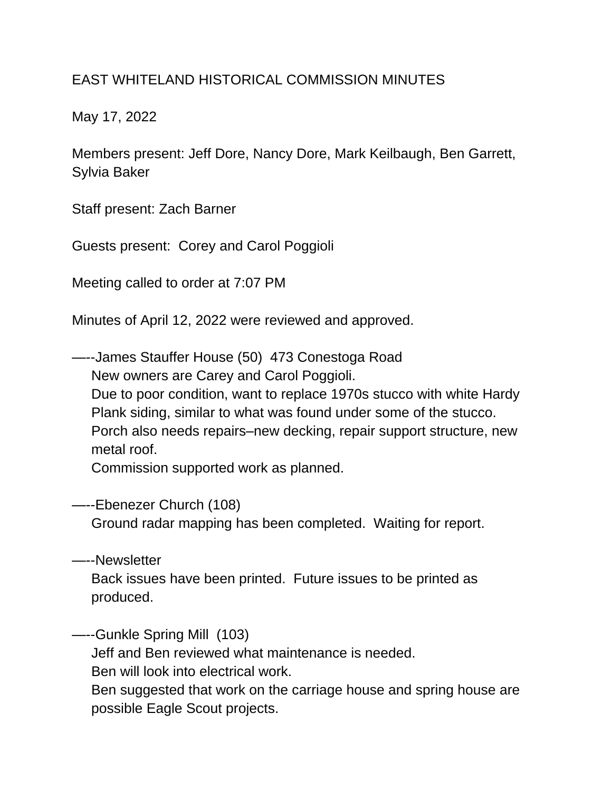## EAST WHITELAND HISTORICAL COMMISSION MINUTES

May 17, 2022

Members present: Jeff Dore, Nancy Dore, Mark Keilbaugh, Ben Garrett, Sylvia Baker

Staff present: Zach Barner

Guests present: Corey and Carol Poggioli

Meeting called to order at 7:07 PM

Minutes of April 12, 2022 were reviewed and approved.

—--James Stauffer House (50) 473 Conestoga Road New owners are Carey and Carol Poggioli. Due to poor condition, want to replace 1970s stucco with white Hardy Plank siding, similar to what was found under some of the stucco. Porch also needs repairs–new decking, repair support structure, new metal roof.

Commission supported work as planned.

—--Ebenezer Church (108)

Ground radar mapping has been completed. Waiting for report.

—--Newsletter Back issues have been printed. Future issues to be printed as produced.

—--Gunkle Spring Mill (103) Jeff and Ben reviewed what maintenance is needed.

Ben will look into electrical work.

 Ben suggested that work on the carriage house and spring house are possible Eagle Scout projects.